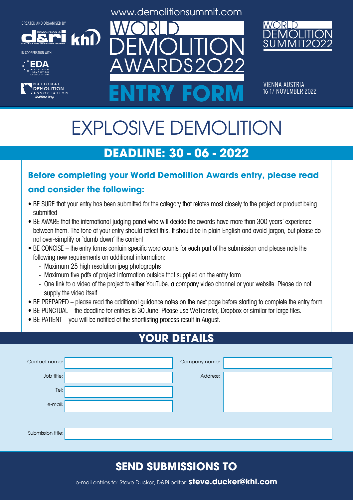**DEMOLITION &**













VIENNA AUSTRIA<br>16-17 NOVEMBER 2022 ENTRY FORM **16-17 NOVEMBER 2022** 

# EXPLOSIVE DEMOLITION

# **DEADLINE: 30 - 06 - 2022**

#### **Before completing your World Demolition Awards entry, please read**

#### **and consider the following:**

khl

- BE SURE that your entry has been submitted for the category that relates most closely to the project or product being submitted
- BE AWARE that the international judging panel who will decide the awards have more than 300 years' experience between them. The tone of your entry should reflect this. It should be in plain English and avoid jargon, but please do not over-simplify or 'dumb down' the content
- BE CONCISE the entry forms contain specific word counts for each part of the submission and please note the following new requirements on additional information:
	- Maximum 25 high resolution jpeg photographs
	- Maximum five pdfs of project information outside that supplied on the entry form
	- One link to a video of the project to either YouTube, a company video channel or your website. Please do not supply the video itself
- BE PREPARED please read the additional guidance notes on the next page before starting to complete the entry form
- BE PUNCTUAL the deadline for entries is 30 June. Please use WeTransfer, Dropbox or similar for large files.
- BE PATIENT you will be notified of the shortlisting process result in August.

# **YOUR DETAILS**

| Contact name:     | Company name: |  |
|-------------------|---------------|--|
| Job title:        | Address:      |  |
| Tel:              |               |  |
| e-mail:           |               |  |
|                   |               |  |
| Submission title: |               |  |

## **SEND SUBMISSIONS TO**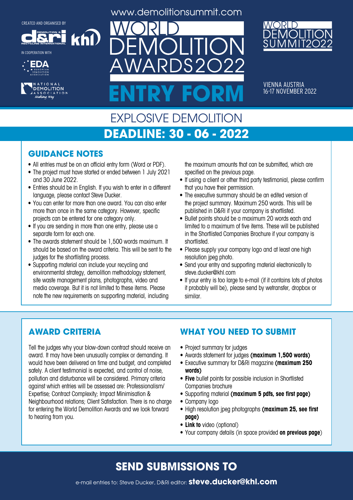**DEMOLITION &**

khl

**RECYCLING INTERNATIONAL** IN COOPERATION WITH





www.demolitionsummit.com

 $S2$ 



VIENNA AUSTRIA<br>16-17 NOVEMBER 2022 ENTRY FORM **16-17 NOVEMBER 2022** 

#### EXPLOSIVE DEMOLITION **DEADLINE: 30 - 06 - 2022**

#### **GUIDANCE NOTES**

- All entries must be on an official entry form (Word or PDF).
- The project must have started or ended between 1 July 2021 and 30 June 2022.
- Entries should be in English. If you wish to enter in a different language, please contact Steve Ducker.
- You can enter for more than one award. You can also enter more than once in the same category. However, specific projects can be entered for one category only.
- If you are sending in more than one entry, please use a separate form for each one.
- The awards statement should be 1,500 words maximum. It should be based on the award criteria. This will be sent to the judges for the shortlisting process.
- Supporting material can include your recycling and environmental strategy, demolition methodology statement, site waste management plans, photographs, video and media coverage. But it is not limited to these items. Please note the new requirements on supporting material, including

the maximum amounts that can be submitted, which are specified on the previous page.

- If using a client or other third party testimonial, please confirm that you have their permission.
- The executive summary should be an edited version of the project summary. Maximum 250 words. This will be published in D&Ri if your company is shortlisted.
- Bullet points should be a maximum 20 words each and limited to a maximum of five items. These will be published in the Shortlisted Companies Brochure if your company is shortlisted.
- Please supply your company logo and at least one high resolution jpeg photo.
- Send your entry and supporting material electronically to steve.ducker@khl.com
- If your entry is too large to e-mail (if it contains lots of photos it probably will be), please send by wetransfer, dropbox or similar.

#### **AWARD CRITERIA**

Tell the judges why your blow-down contract should receive an award. It may have been unusually complex or demanding. It would have been delivered on time and budget, and completed safely. A client testimonial is expected, and control of noise, pollution and disturbance will be considered. Primary criteria against which entries will be assessed are: Professionalism/ Expertise; Contract Complexity; Impact Minimisation & Neighbourhood relations; Client Satisfaction. There is no charge for entering the World Demolition Awards and we look forward to hearing from you.

#### **WHAT YOU NEED TO SUBMIT**

- Project summary for judges
- • Awards statement for judges **(maximum 1,500 words)**
- • Executive summary for D&Ri magazine **(maximum 250 words)**
- **• Five** bullet points for possible inclusion in Shortlisted Companies brochure
- • Supporting material **(maximum 5 pdfs, see first page)**
- Company logo
- • High resolution jpeg photographs **(maximum 25, see first page)**
- **• Link to** video (optional)
- • Your company details (in space provided **on previous page**)

## **SEND SUBMISSIONS TO**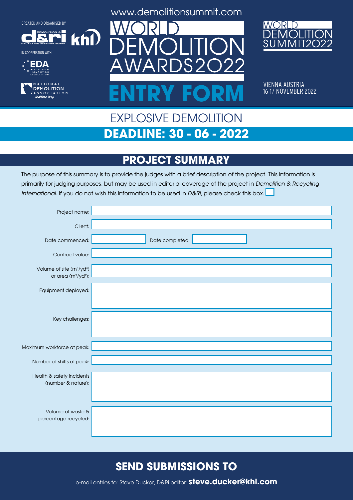**DEMOLITION &**

 $k$ h $\Omega$ 

**RECYCLING INTERNATIONAL**







www.demolitionsummit.com



VIENNA AUSTRIA<br>16-17 NOVEMBER 2022 ENTRY FORM **16-17 NOVEMBER 2022** 

# EXPLOSIVE DEMOLITION **DEADLINE: 30 - 06 - 2022**

# **PROJECT SUMMARY**

The purpose of this summary is to provide the judges with a brief description of the project. This information is primarily for judging purposes, but may be used in editorial coverage of the project in Demolition & Recycling International. If you do not wish this information to be used in D&Ri, please check this box.

| Project name:                                                               |                 |
|-----------------------------------------------------------------------------|-----------------|
| Client:                                                                     |                 |
| Date commenced:                                                             | Date completed: |
| Contract value:                                                             |                 |
| Volume of site (m <sup>3</sup> /yd <sup>3</sup> )<br>or area $(m^2/yd^2)$ : |                 |
| Equipment deployed:                                                         |                 |
|                                                                             |                 |
| Key challenges:                                                             |                 |
|                                                                             |                 |
| Maximum workforce at peak:                                                  |                 |
| Number of shifts at peak:                                                   |                 |
| Health & safety incidents                                                   |                 |
| (number & nature):                                                          |                 |
|                                                                             |                 |
| Volume of waste &<br>percentage recycled:                                   |                 |
|                                                                             |                 |

## **SEND SUBMISSIONS TO**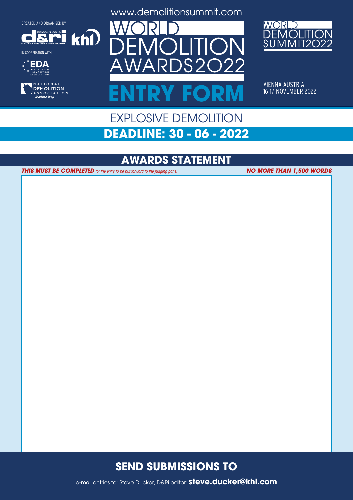**DEMOLITION &**

 $k$ h $\Omega$ 



IN COOPERATION WITH









VIENNA AUSTRIA<br>16-17 NOVEMBER 2022 ENTRY FORM **16-17 NOVEMBER 2022** 

## EXPLOSIVE DEMOLITION **DEADLINE: 30 - 06 - 2022**

#### **AWARDS STATEMENT**

**THIS MUST BE COMPLETED** for the entry to be put forward to the judging panel

**NO MORE THAN 1,500 WORDS**

#### **SEND SUBMISSIONS TO**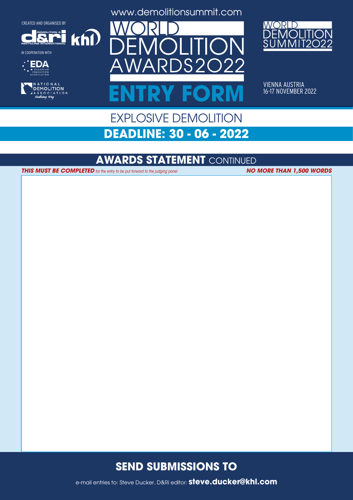**DEMOLITION &**









www.demolitionsummit.com



VIENNA AUSTRIA<br>16-17 NOVEMBER 2022 ENTRY FORM **16-17 NOVEMBER 2022** 

# EXPLOSIVE DEMOLITION **DEADLINE: 30 - 06 - 2022**

#### **AWARDS STATEMENT** CONTINUED

**THIS MUST BE COMPLETED** for the entry to be put forward to the judging panel **NO MORE THAN 1,500 WORDS** 

 $k$ n $\Omega$ 

#### **SEND SUBMISSIONS TO**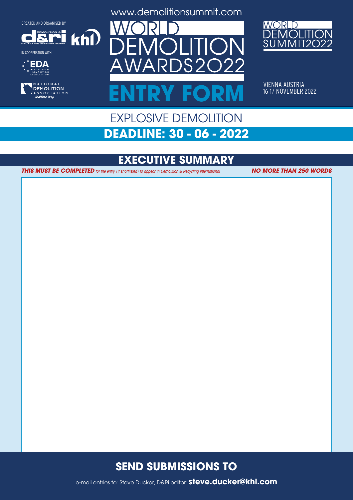**RECYCLING INTERNATIONAL DEMOLITION &**

 $k$ h $\Omega$ 

IN COOPERATION WITH





www.demolitionsummit.com



VIENNA AUSTRIA<br>16-17 NOVEMBER 2022 ENTRY FORM **16-17 NOVEMBER 2022** 

# EXPLOSIVE DEMOLITION **DEADLINE: 30 - 06 - 2022**

## **EXECUTIVE SUMMARY**

**THIS MUST BE COMPLETED** for the entry (if shortlisted) to appear in Demolition & Recycling International **NO MORE THAN 250 WORDS** 

#### **SEND SUBMISSIONS TO**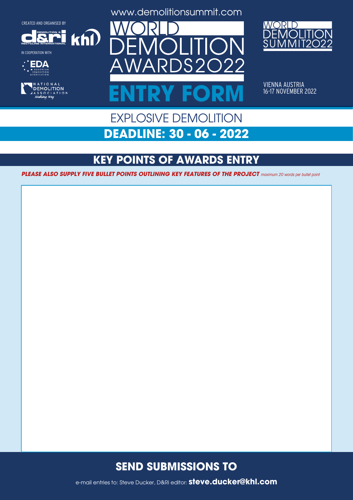**DEMOLITION &**

 $k$ h $\Omega$ 



IN COOPERATION WITH





www.demolitionsummit.com



VIENNA AUSTRIA<br>16-17 NOVEMBER 2022 ENTRY FORM **16-17 NOVEMBER 2022** 

## EXPLOSIVE DEMOLITION **DEADLINE: 30 - 06 - 2022**

# **KEY POINTS OF AWARDS ENTRY**

**PLEASE ALSO SUPPLY FIVE BULLET POINTS OUTLINING KEY FEATURES OF THE PROJECT** maximum 20 words per bullet point

#### **SEND SUBMISSIONS TO**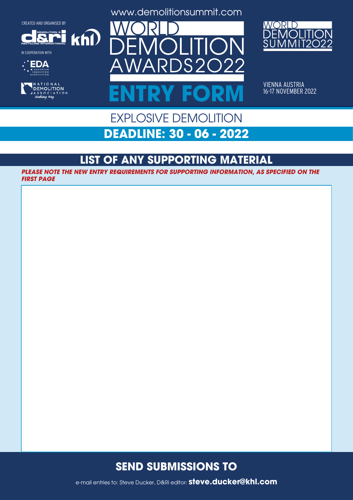**RECYCLING INTERNATIONAL**

IN COOPERATION WITH

**EDA** 

**DEMOLITION &**

TIONAL DEMOLITION SOCIATION<br>King Way

 $k$ n $\Omega$ 

www.demolitionsummit.com



VIENNA AUSTRIA<br>16-17 NOVEMBER 2022

# EXPLOSIVE DEMOLITION ENTRY FORM **16-17 NOVEMBER 2022**

**DEADLINE: 30 - 06 - 2022**

# **LIST OF ANY SUPPORTING MATERIAL**

**PLEASE NOTE THE NEW ENTRY REQUIREMENTS FOR SUPPORTING INFORMATION, AS SPECIFIED ON THE FIRST PAGE**

#### **SEND SUBMISSIONS TO**